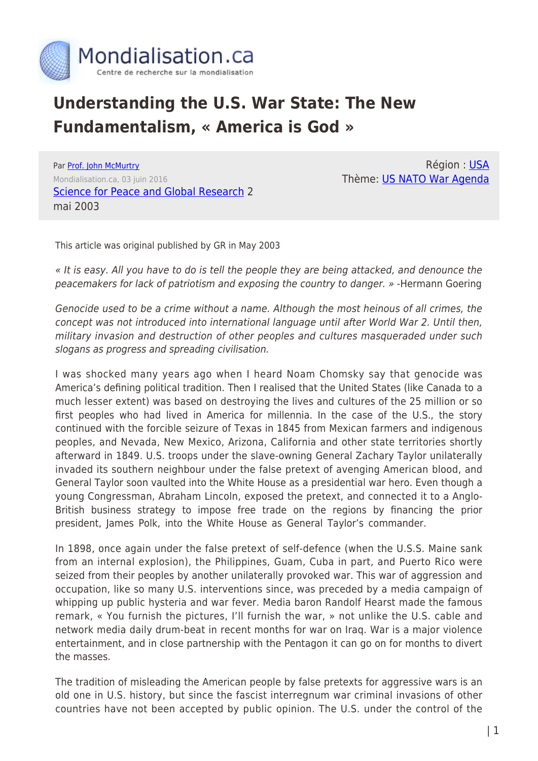

# **Understanding the U.S. War State: The New Fundamentalism, « America is God »**

Par [Prof. John McMurtry](https://www.mondialisation.ca/author/john-mcmurtry) Mondialisation.ca, 03 juin 2016 [Science for Peace and Global Research](http://globalresearch.ca/articles/MCM305A.html) 2 mai 2003

Région : [USA](https://www.mondialisation.ca/region/usa) Thème: [US NATO War Agenda](https://www.mondialisation.ca/theme/us-nato-war-agenda)

This article was original published by GR in May 2003

« It is easy. All you have to do is tell the people they are being attacked, and denounce the peacemakers for lack of patriotism and exposing the country to danger. » -Hermann Goering

Genocide used to be a crime without a name. Although the most heinous of all crimes, the concept was not introduced into international language until after World War 2. Until then, military invasion and destruction of other peoples and cultures masqueraded under such slogans as progress and spreading civilisation.

I was shocked many years ago when I heard Noam Chomsky say that genocide was America's defining political tradition. Then I realised that the United States (like Canada to a much lesser extent) was based on destroying the lives and cultures of the 25 million or so first peoples who had lived in America for millennia. In the case of the U.S., the story continued with the forcible seizure of Texas in 1845 from Mexican farmers and indigenous peoples, and Nevada, New Mexico, Arizona, California and other state territories shortly afterward in 1849. U.S. troops under the slave-owning General Zachary Taylor unilaterally invaded its southern neighbour under the false pretext of avenging American blood, and General Taylor soon vaulted into the White House as a presidential war hero. Even though a young Congressman, Abraham Lincoln, exposed the pretext, and connected it to a Anglo-British business strategy to impose free trade on the regions by financing the prior president, James Polk, into the White House as General Taylor's commander.

In 1898, once again under the false pretext of self-defence (when the U.S.S. Maine sank from an internal explosion), the Philippines, Guam, Cuba in part, and Puerto Rico were seized from their peoples by another unilaterally provoked war. This war of aggression and occupation, like so many U.S. interventions since, was preceded by a media campaign of whipping up public hysteria and war fever. Media baron Randolf Hearst made the famous remark, « You furnish the pictures, I'll furnish the war, » not unlike the U.S. cable and network media daily drum-beat in recent months for war on Iraq. War is a major violence entertainment, and in close partnership with the Pentagon it can go on for months to divert the masses.

The tradition of misleading the American people by false pretexts for aggressive wars is an old one in U.S. history, but since the fascist interregnum war criminal invasions of other countries have not been accepted by public opinion. The U.S. under the control of the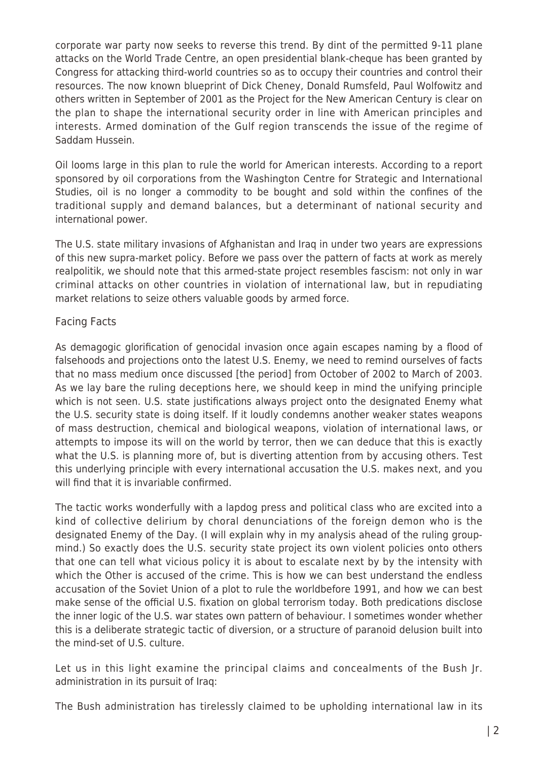corporate war party now seeks to reverse this trend. By dint of the permitted 9-11 plane attacks on the World Trade Centre, an open presidential blank-cheque has been granted by Congress for attacking third-world countries so as to occupy their countries and control their resources. The now known blueprint of Dick Cheney, Donald Rumsfeld, Paul Wolfowitz and others written in September of 2001 as the Project for the New American Century is clear on the plan to shape the international security order in line with American principles and interests. Armed domination of the Gulf region transcends the issue of the regime of Saddam Hussein.

Oil looms large in this plan to rule the world for American interests. According to a report sponsored by oil corporations from the Washington Centre for Strategic and International Studies, oil is no longer a commodity to be bought and sold within the confines of the traditional supply and demand balances, but a determinant of national security and international power.

The U.S. state military invasions of Afghanistan and Iraq in under two years are expressions of this new supra-market policy. Before we pass over the pattern of facts at work as merely realpolitik, we should note that this armed-state project resembles fascism: not only in war criminal attacks on other countries in violation of international law, but in repudiating market relations to seize others valuable goods by armed force.

## Facing Facts

As demagogic glorification of genocidal invasion once again escapes naming by a flood of falsehoods and projections onto the latest U.S. Enemy, we need to remind ourselves of facts that no mass medium once discussed [the period] from October of 2002 to March of 2003. As we lay bare the ruling deceptions here, we should keep in mind the unifying principle which is not seen. U.S. state justifications always project onto the designated Enemy what the U.S. security state is doing itself. If it loudly condemns another weaker states weapons of mass destruction, chemical and biological weapons, violation of international laws, or attempts to impose its will on the world by terror, then we can deduce that this is exactly what the U.S. is planning more of, but is diverting attention from by accusing others. Test this underlying principle with every international accusation the U.S. makes next, and you will find that it is invariable confirmed.

The tactic works wonderfully with a lapdog press and political class who are excited into a kind of collective delirium by choral denunciations of the foreign demon who is the designated Enemy of the Day. (I will explain why in my analysis ahead of the ruling groupmind.) So exactly does the U.S. security state project its own violent policies onto others that one can tell what vicious policy it is about to escalate next by by the intensity with which the Other is accused of the crime. This is how we can best understand the endless accusation of the Soviet Union of a plot to rule the worldbefore 1991, and how we can best make sense of the official U.S. fixation on global terrorism today. Both predications disclose the inner logic of the U.S. war states own pattern of behaviour. I sometimes wonder whether this is a deliberate strategic tactic of diversion, or a structure of paranoid delusion built into the mind-set of U.S. culture.

Let us in this light examine the principal claims and concealments of the Bush |r. administration in its pursuit of Iraq:

The Bush administration has tirelessly claimed to be upholding international law in its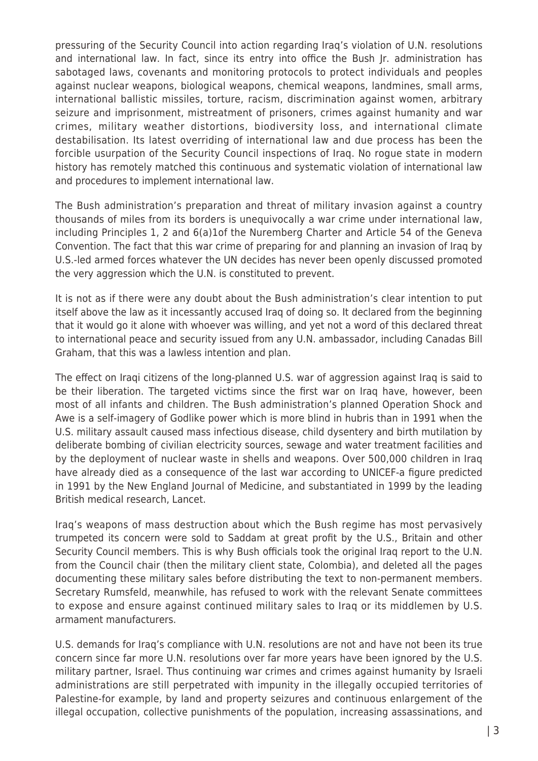pressuring of the Security Council into action regarding Iraq's violation of U.N. resolutions and international law. In fact, since its entry into office the Bush Jr. administration has sabotaged laws, covenants and monitoring protocols to protect individuals and peoples against nuclear weapons, biological weapons, chemical weapons, landmines, small arms, international ballistic missiles, torture, racism, discrimination against women, arbitrary seizure and imprisonment, mistreatment of prisoners, crimes against humanity and war crimes, military weather distortions, biodiversity loss, and international climate destabilisation. Its latest overriding of international law and due process has been the forcible usurpation of the Security Council inspections of Iraq. No rogue state in modern history has remotely matched this continuous and systematic violation of international law and procedures to implement international law.

The Bush administration's preparation and threat of military invasion against a country thousands of miles from its borders is unequivocally a war crime under international law, including Principles 1, 2 and 6(a)1of the Nuremberg Charter and Article 54 of the Geneva Convention. The fact that this war crime of preparing for and planning an invasion of Iraq by U.S.-led armed forces whatever the UN decides has never been openly discussed promoted the very aggression which the U.N. is constituted to prevent.

It is not as if there were any doubt about the Bush administration's clear intention to put itself above the law as it incessantly accused Iraq of doing so. It declared from the beginning that it would go it alone with whoever was willing, and yet not a word of this declared threat to international peace and security issued from any U.N. ambassador, including Canadas Bill Graham, that this was a lawless intention and plan.

The effect on Iraqi citizens of the long-planned U.S. war of aggression against Iraq is said to be their liberation. The targeted victims since the first war on Iraq have, however, been most of all infants and children. The Bush administration's planned Operation Shock and Awe is a self-imagery of Godlike power which is more blind in hubris than in 1991 when the U.S. military assault caused mass infectious disease, child dysentery and birth mutilation by deliberate bombing of civilian electricity sources, sewage and water treatment facilities and by the deployment of nuclear waste in shells and weapons. Over 500,000 children in Iraq have already died as a consequence of the last war according to UNICEF-a figure predicted in 1991 by the New England Journal of Medicine, and substantiated in 1999 by the leading British medical research, Lancet.

Iraq's weapons of mass destruction about which the Bush regime has most pervasively trumpeted its concern were sold to Saddam at great profit by the U.S., Britain and other Security Council members. This is why Bush officials took the original Iraq report to the U.N. from the Council chair (then the military client state, Colombia), and deleted all the pages documenting these military sales before distributing the text to non-permanent members. Secretary Rumsfeld, meanwhile, has refused to work with the relevant Senate committees to expose and ensure against continued military sales to Iraq or its middlemen by U.S. armament manufacturers.

U.S. demands for Iraq's compliance with U.N. resolutions are not and have not been its true concern since far more U.N. resolutions over far more years have been ignored by the U.S. military partner, Israel. Thus continuing war crimes and crimes against humanity by Israeli administrations are still perpetrated with impunity in the illegally occupied territories of Palestine-for example, by land and property seizures and continuous enlargement of the illegal occupation, collective punishments of the population, increasing assassinations, and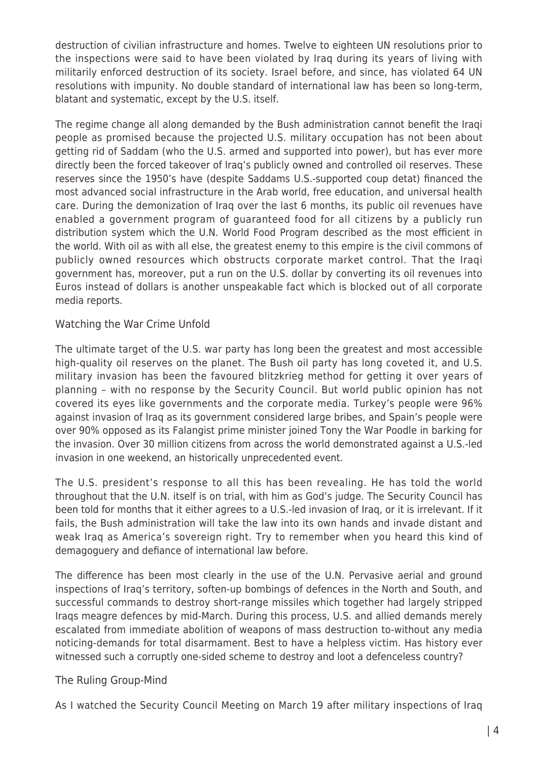destruction of civilian infrastructure and homes. Twelve to eighteen UN resolutions prior to the inspections were said to have been violated by Iraq during its years of living with militarily enforced destruction of its society. Israel before, and since, has violated 64 UN resolutions with impunity. No double standard of international law has been so long-term, blatant and systematic, except by the U.S. itself.

The regime change all along demanded by the Bush administration cannot benefit the Iraqi people as promised because the projected U.S. military occupation has not been about getting rid of Saddam (who the U.S. armed and supported into power), but has ever more directly been the forced takeover of Iraq's publicly owned and controlled oil reserves. These reserves since the 1950's have (despite Saddams U.S.-supported coup detat) financed the most advanced social infrastructure in the Arab world, free education, and universal health care. During the demonization of Iraq over the last 6 months, its public oil revenues have enabled a government program of guaranteed food for all citizens by a publicly run distribution system which the U.N. World Food Program described as the most efficient in the world. With oil as with all else, the greatest enemy to this empire is the civil commons of publicly owned resources which obstructs corporate market control. That the Iraqi government has, moreover, put a run on the U.S. dollar by converting its oil revenues into Euros instead of dollars is another unspeakable fact which is blocked out of all corporate media reports.

## Watching the War Crime Unfold

The ultimate target of the U.S. war party has long been the greatest and most accessible high-quality oil reserves on the planet. The Bush oil party has long coveted it, and U.S. military invasion has been the favoured blitzkrieg method for getting it over years of planning – with no response by the Security Council. But world public opinion has not covered its eyes like governments and the corporate media. Turkey's people were 96% against invasion of Iraq as its government considered large bribes, and Spain's people were over 90% opposed as its Falangist prime minister joined Tony the War Poodle in barking for the invasion. Over 30 million citizens from across the world demonstrated against a U.S.-led invasion in one weekend, an historically unprecedented event.

The U.S. president's response to all this has been revealing. He has told the world throughout that the U.N. itself is on trial, with him as God's judge. The Security Council has been told for months that it either agrees to a U.S.-led invasion of Iraq, or it is irrelevant. If it fails, the Bush administration will take the law into its own hands and invade distant and weak Iraq as America's sovereign right. Try to remember when you heard this kind of demagoguery and defiance of international law before.

The difference has been most clearly in the use of the U.N. Pervasive aerial and ground inspections of Iraq's territory, soften-up bombings of defences in the North and South, and successful commands to destroy short-range missiles which together had largely stripped Iraqs meagre defences by mid-March. During this process, U.S. and allied demands merely escalated from immediate abolition of weapons of mass destruction to-without any media noticing-demands for total disarmament. Best to have a helpless victim. Has history ever witnessed such a corruptly one-sided scheme to destroy and loot a defenceless country?

#### The Ruling Group-Mind

As I watched the Security Council Meeting on March 19 after military inspections of Iraq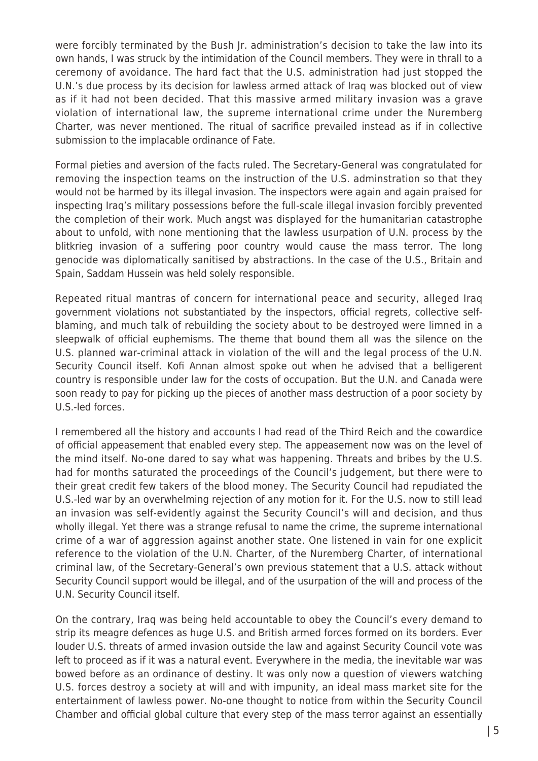were forcibly terminated by the Bush Jr. administration's decision to take the law into its own hands, I was struck by the intimidation of the Council members. They were in thrall to a ceremony of avoidance. The hard fact that the U.S. administration had just stopped the U.N.'s due process by its decision for lawless armed attack of Iraq was blocked out of view as if it had not been decided. That this massive armed military invasion was a grave violation of international law, the supreme international crime under the Nuremberg Charter, was never mentioned. The ritual of sacrifice prevailed instead as if in collective submission to the implacable ordinance of Fate.

Formal pieties and aversion of the facts ruled. The Secretary-General was congratulated for removing the inspection teams on the instruction of the U.S. adminstration so that they would not be harmed by its illegal invasion. The inspectors were again and again praised for inspecting Iraq's military possessions before the full-scale illegal invasion forcibly prevented the completion of their work. Much angst was displayed for the humanitarian catastrophe about to unfold, with none mentioning that the lawless usurpation of U.N. process by the blitkrieg invasion of a suffering poor country would cause the mass terror. The long genocide was diplomatically sanitised by abstractions. In the case of the U.S., Britain and Spain, Saddam Hussein was held solely responsible.

Repeated ritual mantras of concern for international peace and security, alleged Iraq government violations not substantiated by the inspectors, official regrets, collective selfblaming, and much talk of rebuilding the society about to be destroyed were limned in a sleepwalk of official euphemisms. The theme that bound them all was the silence on the U.S. planned war-criminal attack in violation of the will and the legal process of the U.N. Security Council itself. Kofi Annan almost spoke out when he advised that a belligerent country is responsible under law for the costs of occupation. But the U.N. and Canada were soon ready to pay for picking up the pieces of another mass destruction of a poor society by U.S.-led forces.

I remembered all the history and accounts I had read of the Third Reich and the cowardice of official appeasement that enabled every step. The appeasement now was on the level of the mind itself. No-one dared to say what was happening. Threats and bribes by the U.S. had for months saturated the proceedings of the Council's judgement, but there were to their great credit few takers of the blood money. The Security Council had repudiated the U.S.-led war by an overwhelming rejection of any motion for it. For the U.S. now to still lead an invasion was self-evidently against the Security Council's will and decision, and thus wholly illegal. Yet there was a strange refusal to name the crime, the supreme international crime of a war of aggression against another state. One listened in vain for one explicit reference to the violation of the U.N. Charter, of the Nuremberg Charter, of international criminal law, of the Secretary-General's own previous statement that a U.S. attack without Security Council support would be illegal, and of the usurpation of the will and process of the U.N. Security Council itself.

On the contrary, Iraq was being held accountable to obey the Council's every demand to strip its meagre defences as huge U.S. and British armed forces formed on its borders. Ever louder U.S. threats of armed invasion outside the law and against Security Council vote was left to proceed as if it was a natural event. Everywhere in the media, the inevitable war was bowed before as an ordinance of destiny. It was only now a question of viewers watching U.S. forces destroy a society at will and with impunity, an ideal mass market site for the entertainment of lawless power. No-one thought to notice from within the Security Council Chamber and official global culture that every step of the mass terror against an essentially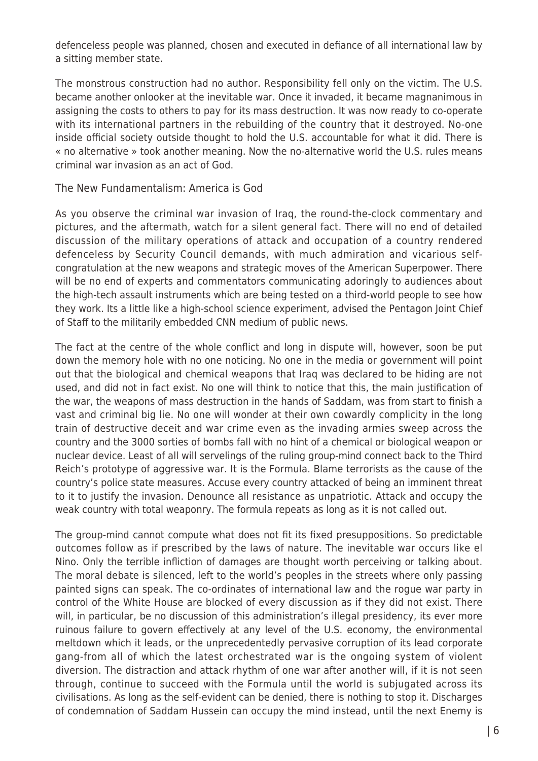defenceless people was planned, chosen and executed in defiance of all international law by a sitting member state.

The monstrous construction had no author. Responsibility fell only on the victim. The U.S. became another onlooker at the inevitable war. Once it invaded, it became magnanimous in assigning the costs to others to pay for its mass destruction. It was now ready to co-operate with its international partners in the rebuilding of the country that it destroyed. No-one inside official society outside thought to hold the U.S. accountable for what it did. There is « no alternative » took another meaning. Now the no-alternative world the U.S. rules means criminal war invasion as an act of God.

#### The New Fundamentalism: America is God

As you observe the criminal war invasion of Iraq, the round-the-clock commentary and pictures, and the aftermath, watch for a silent general fact. There will no end of detailed discussion of the military operations of attack and occupation of a country rendered defenceless by Security Council demands, with much admiration and vicarious selfcongratulation at the new weapons and strategic moves of the American Superpower. There will be no end of experts and commentators communicating adoringly to audiences about the high-tech assault instruments which are being tested on a third-world people to see how they work. Its a little like a high-school science experiment, advised the Pentagon Joint Chief of Staff to the militarily embedded CNN medium of public news.

The fact at the centre of the whole conflict and long in dispute will, however, soon be put down the memory hole with no one noticing. No one in the media or government will point out that the biological and chemical weapons that Iraq was declared to be hiding are not used, and did not in fact exist. No one will think to notice that this, the main justification of the war, the weapons of mass destruction in the hands of Saddam, was from start to finish a vast and criminal big lie. No one will wonder at their own cowardly complicity in the long train of destructive deceit and war crime even as the invading armies sweep across the country and the 3000 sorties of bombs fall with no hint of a chemical or biological weapon or nuclear device. Least of all will servelings of the ruling group-mind connect back to the Third Reich's prototype of aggressive war. It is the Formula. Blame terrorists as the cause of the country's police state measures. Accuse every country attacked of being an imminent threat to it to justify the invasion. Denounce all resistance as unpatriotic. Attack and occupy the weak country with total weaponry. The formula repeats as long as it is not called out.

The group-mind cannot compute what does not fit its fixed presuppositions. So predictable outcomes follow as if prescribed by the laws of nature. The inevitable war occurs like el Nino. Only the terrible infliction of damages are thought worth perceiving or talking about. The moral debate is silenced, left to the world's peoples in the streets where only passing painted signs can speak. The co-ordinates of international law and the rogue war party in control of the White House are blocked of every discussion as if they did not exist. There will, in particular, be no discussion of this administration's illegal presidency, its ever more ruinous failure to govern effectively at any level of the U.S. economy, the environmental meltdown which it leads, or the unprecedentedly pervasive corruption of its lead corporate gang-from all of which the latest orchestrated war is the ongoing system of violent diversion. The distraction and attack rhythm of one war after another will, if it is not seen through, continue to succeed with the Formula until the world is subjugated across its civilisations. As long as the self-evident can be denied, there is nothing to stop it. Discharges of condemnation of Saddam Hussein can occupy the mind instead, until the next Enemy is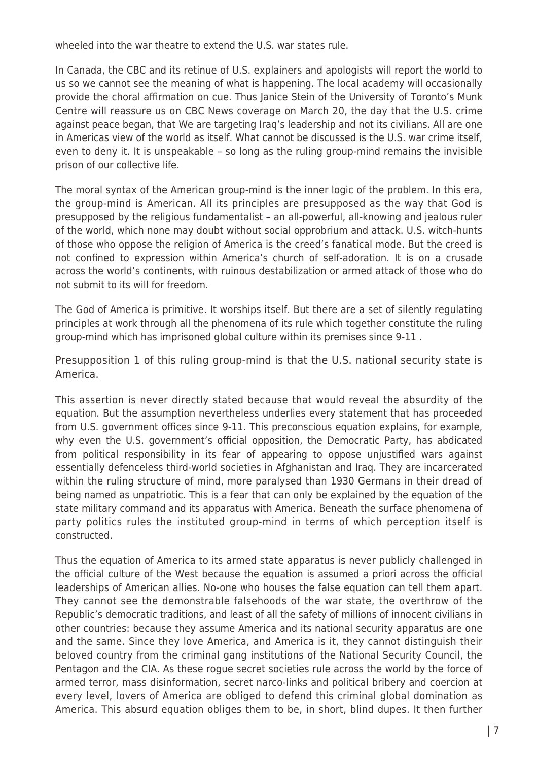wheeled into the war theatre to extend the U.S. war states rule.

In Canada, the CBC and its retinue of U.S. explainers and apologists will report the world to us so we cannot see the meaning of what is happening. The local academy will occasionally provide the choral affirmation on cue. Thus Janice Stein of the University of Toronto's Munk Centre will reassure us on CBC News coverage on March 20, the day that the U.S. crime against peace began, that We are targeting Iraq's leadership and not its civilians. All are one in Americas view of the world as itself. What cannot be discussed is the U.S. war crime itself, even to deny it. It is unspeakable – so long as the ruling group-mind remains the invisible prison of our collective life.

The moral syntax of the American group-mind is the inner logic of the problem. In this era, the group-mind is American. All its principles are presupposed as the way that God is presupposed by the religious fundamentalist – an all-powerful, all-knowing and jealous ruler of the world, which none may doubt without social opprobrium and attack. U.S. witch-hunts of those who oppose the religion of America is the creed's fanatical mode. But the creed is not confined to expression within America's church of self-adoration. It is on a crusade across the world's continents, with ruinous destabilization or armed attack of those who do not submit to its will for freedom.

The God of America is primitive. It worships itself. But there are a set of silently regulating principles at work through all the phenomena of its rule which together constitute the ruling group-mind which has imprisoned global culture within its premises since 9-11 .

Presupposition 1 of this ruling group-mind is that the U.S. national security state is America.

This assertion is never directly stated because that would reveal the absurdity of the equation. But the assumption nevertheless underlies every statement that has proceeded from U.S. government offices since 9-11. This preconscious equation explains, for example, why even the U.S. government's official opposition, the Democratic Party, has abdicated from political responsibility in its fear of appearing to oppose unjustified wars against essentially defenceless third-world societies in Afghanistan and Iraq. They are incarcerated within the ruling structure of mind, more paralysed than 1930 Germans in their dread of being named as unpatriotic. This is a fear that can only be explained by the equation of the state military command and its apparatus with America. Beneath the surface phenomena of party politics rules the instituted group-mind in terms of which perception itself is constructed.

Thus the equation of America to its armed state apparatus is never publicly challenged in the official culture of the West because the equation is assumed a priori across the official leaderships of American allies. No-one who houses the false equation can tell them apart. They cannot see the demonstrable falsehoods of the war state, the overthrow of the Republic's democratic traditions, and least of all the safety of millions of innocent civilians in other countries: because they assume America and its national security apparatus are one and the same. Since they love America, and America is it, they cannot distinguish their beloved country from the criminal gang institutions of the National Security Council, the Pentagon and the CIA. As these rogue secret societies rule across the world by the force of armed terror, mass disinformation, secret narco-links and political bribery and coercion at every level, lovers of America are obliged to defend this criminal global domination as America. This absurd equation obliges them to be, in short, blind dupes. It then further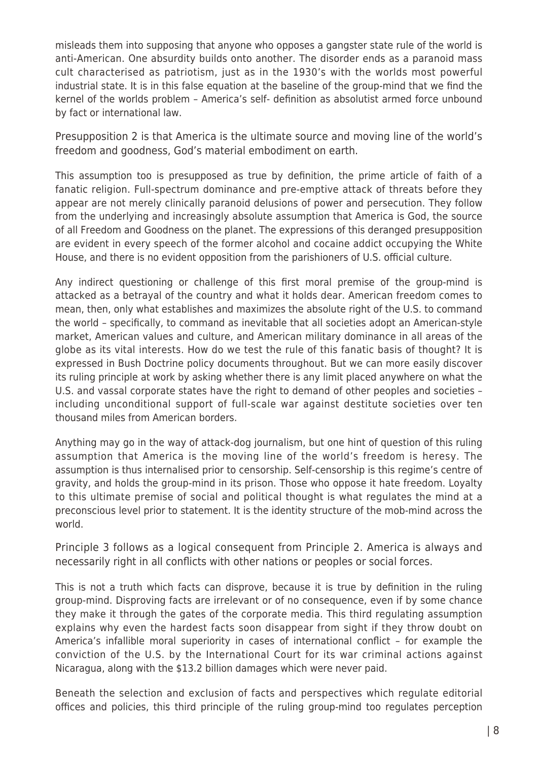misleads them into supposing that anyone who opposes a gangster state rule of the world is anti-American. One absurdity builds onto another. The disorder ends as a paranoid mass cult characterised as patriotism, just as in the 1930's with the worlds most powerful industrial state. It is in this false equation at the baseline of the group-mind that we find the kernel of the worlds problem – America's self- definition as absolutist armed force unbound by fact or international law.

Presupposition 2 is that America is the ultimate source and moving line of the world's freedom and goodness, God's material embodiment on earth.

This assumption too is presupposed as true by definition, the prime article of faith of a fanatic religion. Full-spectrum dominance and pre-emptive attack of threats before they appear are not merely clinically paranoid delusions of power and persecution. They follow from the underlying and increasingly absolute assumption that America is God, the source of all Freedom and Goodness on the planet. The expressions of this deranged presupposition are evident in every speech of the former alcohol and cocaine addict occupying the White House, and there is no evident opposition from the parishioners of U.S. official culture.

Any indirect questioning or challenge of this first moral premise of the group-mind is attacked as a betrayal of the country and what it holds dear. American freedom comes to mean, then, only what establishes and maximizes the absolute right of the U.S. to command the world – specifically, to command as inevitable that all societies adopt an American-style market, American values and culture, and American military dominance in all areas of the globe as its vital interests. How do we test the rule of this fanatic basis of thought? It is expressed in Bush Doctrine policy documents throughout. But we can more easily discover its ruling principle at work by asking whether there is any limit placed anywhere on what the U.S. and vassal corporate states have the right to demand of other peoples and societies – including unconditional support of full-scale war against destitute societies over ten thousand miles from American borders.

Anything may go in the way of attack-dog journalism, but one hint of question of this ruling assumption that America is the moving line of the world's freedom is heresy. The assumption is thus internalised prior to censorship. Self-censorship is this regime's centre of gravity, and holds the group-mind in its prison. Those who oppose it hate freedom. Loyalty to this ultimate premise of social and political thought is what regulates the mind at a preconscious level prior to statement. It is the identity structure of the mob-mind across the world.

Principle 3 follows as a logical consequent from Principle 2. America is always and necessarily right in all conflicts with other nations or peoples or social forces.

This is not a truth which facts can disprove, because it is true by definition in the ruling group-mind. Disproving facts are irrelevant or of no consequence, even if by some chance they make it through the gates of the corporate media. This third regulating assumption explains why even the hardest facts soon disappear from sight if they throw doubt on America's infallible moral superiority in cases of international conflict – for example the conviction of the U.S. by the International Court for its war criminal actions against Nicaragua, along with the \$13.2 billion damages which were never paid.

Beneath the selection and exclusion of facts and perspectives which regulate editorial offices and policies, this third principle of the ruling group-mind too regulates perception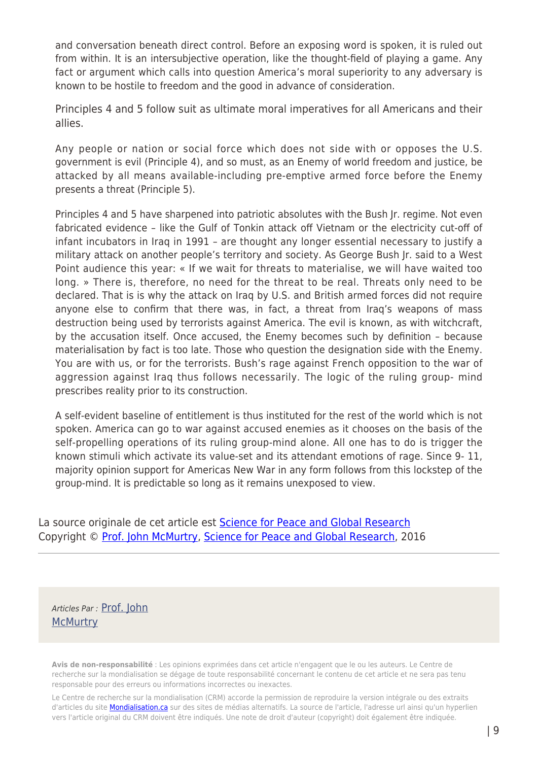and conversation beneath direct control. Before an exposing word is spoken, it is ruled out from within. It is an intersubjective operation, like the thought-field of playing a game. Any fact or argument which calls into question America's moral superiority to any adversary is known to be hostile to freedom and the good in advance of consideration.

Principles 4 and 5 follow suit as ultimate moral imperatives for all Americans and their allies.

Any people or nation or social force which does not side with or opposes the U.S. government is evil (Principle 4), and so must, as an Enemy of world freedom and justice, be attacked by all means available-including pre-emptive armed force before the Enemy presents a threat (Principle 5).

Principles 4 and 5 have sharpened into patriotic absolutes with the Bush Jr. regime. Not even fabricated evidence – like the Gulf of Tonkin attack off Vietnam or the electricity cut-off of infant incubators in Iraq in 1991 – are thought any longer essential necessary to justify a military attack on another people's territory and society. As George Bush Jr. said to a West Point audience this year: « If we wait for threats to materialise, we will have waited too long. » There is, therefore, no need for the threat to be real. Threats only need to be declared. That is is why the attack on Iraq by U.S. and British armed forces did not require anyone else to confirm that there was, in fact, a threat from Iraq's weapons of mass destruction being used by terrorists against America. The evil is known, as with witchcraft, by the accusation itself. Once accused, the Enemy becomes such by definition – because materialisation by fact is too late. Those who question the designation side with the Enemy. You are with us, or for the terrorists. Bush's rage against French opposition to the war of aggression against Iraq thus follows necessarily. The logic of the ruling group- mind prescribes reality prior to its construction.

A self-evident baseline of entitlement is thus instituted for the rest of the world which is not spoken. America can go to war against accused enemies as it chooses on the basis of the self-propelling operations of its ruling group-mind alone. All one has to do is trigger the known stimuli which activate its value-set and its attendant emotions of rage. Since 9- 11, majority opinion support for Americas New War in any form follows from this lockstep of the group-mind. It is predictable so long as it remains unexposed to view.

La source originale de cet article est **[Science for Peace and Global Research](http://globalresearch.ca/articles/MCM305A.html)** Copyright © [Prof. John McMurtry,](https://www.mondialisation.ca/author/john-mcmurtry) [Science for Peace and Global Research,](http://globalresearch.ca/articles/MCM305A.html) 2016

Articles Par : [Prof. John](https://www.mondialisation.ca/author/john-mcmurtry) **[McMurtry](https://www.mondialisation.ca/author/john-mcmurtry)** 

**Avis de non-responsabilité** : Les opinions exprimées dans cet article n'engagent que le ou les auteurs. Le Centre de recherche sur la mondialisation se dégage de toute responsabilité concernant le contenu de cet article et ne sera pas tenu responsable pour des erreurs ou informations incorrectes ou inexactes.

Le Centre de recherche sur la mondialisation (CRM) accorde la permission de reproduire la version intégrale ou des extraits d'articles du site **Mondialisation.ca** sur des sites de médias alternatifs. La source de l'article, l'adresse url ainsi qu'un hyperlien vers l'article original du CRM doivent être indiqués. Une note de droit d'auteur (copyright) doit également être indiquée.